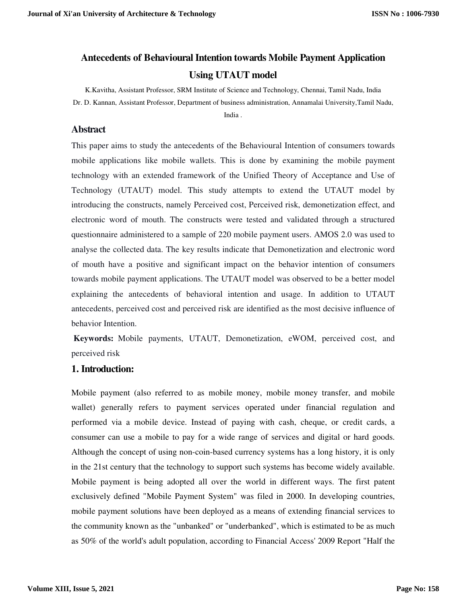# **Antecedents of Behavioural Intention towards Mobile Payment Application Using UTAUT model**

K.Kavitha, Assistant Professor, SRM Institute of Science and Technology, Chennai, Tamil Nadu, India Dr. D. Kannan, Assistant Professor, Department of business administration, Annamalai University,Tamil Nadu, India .

## **Abstract**

This paper aims to study the antecedents of the Behavioural Intention of consumers towards mobile applications like mobile wallets. This is done by examining the mobile payment technology with an extended framework of the Unified Theory of Acceptance and Use of Technology (UTAUT) model. This study attempts to extend the UTAUT model by introducing the constructs, namely Perceived cost, Perceived risk, demonetization effect, and electronic word of mouth. The constructs were tested and validated through a structured questionnaire administered to a sample of 220 mobile payment users. AMOS 2.0 was used to analyse the collected data. The key results indicate that Demonetization and electronic word of mouth have a positive and significant impact on the behavior intention of consumers towards mobile payment applications. The UTAUT model was observed to be a better model explaining the antecedents of behavioral intention and usage. In addition to UTAUT antecedents, perceived cost and perceived risk are identified as the most decisive influence of behavior Intention.

**Keywords:** Mobile payments, UTAUT, Demonetization, eWOM, perceived cost, and perceived risk

## **1. Introduction:**

Mobile payment (also referred to as mobile money, mobile money transfer, and mobile wallet) generally refers to payment services operated under financial regulation and performed via a mobile device. Instead of paying with cash, cheque, or credit cards, a consumer can use a mobile to pay for a wide range of services and digital or hard goods. Although the concept of using non-coin-based currency systems has a long history, it is only in the 21st century that the technology to support such systems has become widely available. Mobile payment is being adopted all over the world in different ways. The first patent exclusively defined "Mobile Payment System" was filed in 2000. In developing countries, mobile payment solutions have been deployed as a means of extending financial services to the community known as the "unbanked" or "underbanked", which is estimated to be as much as 50% of the world's adult population, according to Financial Access' 2009 Report "Half the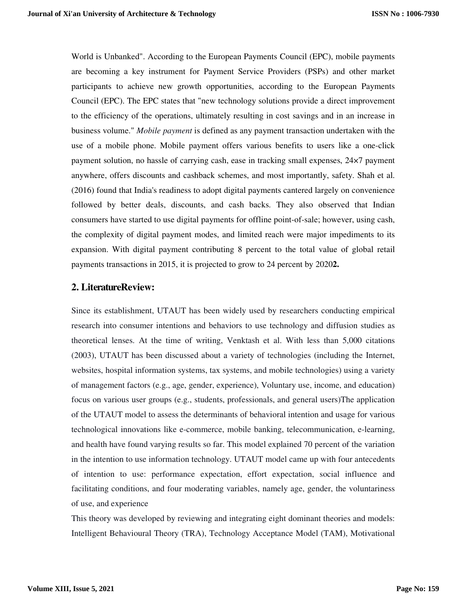World is Unbanked". According to the European Payments Council (EPC), mobile payments are becoming a key instrument for Payment Service Providers (PSPs) and other market participants to achieve new growth opportunities, according to the European Payments Council (EPC). The EPC states that "new technology solutions provide a direct improvement to the efficiency of the operations, ultimately resulting in cost savings and in an increase in business volume." *Mobile payment* is defined as any payment transaction undertaken with the use of a mobile phone. Mobile payment offers various benefits to users like a one-click payment solution, no hassle of carrying cash, ease in tracking small expenses, 24×7 payment anywhere, offers discounts and cashback schemes, and most importantly, safety. Shah et al. (2016) found that India's readiness to adopt digital payments cantered largely on convenience followed by better deals, discounts, and cash backs. They also observed that Indian consumers have started to use digital payments for offline point-of-sale; however, using cash, the complexity of digital payment modes, and limited reach were major impediments to its expansion. With digital payment contributing 8 percent to the total value of global retail payments transactions in 2015, it is projected to grow to 24 percent by 2020**2.** 

#### **2. LiteratureReview:**

Since its establishment, UTAUT has been widely used by researchers conducting empirical research into consumer intentions and behaviors to use technology and diffusion studies as theoretical lenses. At the time of writing, Venktash et al. With less than 5,000 citations (2003), UTAUT has been discussed about a variety of technologies (including the Internet, websites, hospital information systems, tax systems, and mobile technologies) using a variety of management factors (e.g., age, gender, experience), Voluntary use, income, and education) focus on various user groups (e.g., students, professionals, and general users)The application of the UTAUT model to assess the determinants of behavioral intention and usage for various technological innovations like e-commerce, mobile banking, telecommunication, e-learning, and health have found varying results so far. This model explained 70 percent of the variation in the intention to use information technology. UTAUT model came up with four antecedents of intention to use: performance expectation, effort expectation, social influence and facilitating conditions, and four moderating variables, namely age, gender, the voluntariness of use, and experience

This theory was developed by reviewing and integrating eight dominant theories and models: Intelligent Behavioural Theory (TRA), Technology Acceptance Model (TAM), Motivational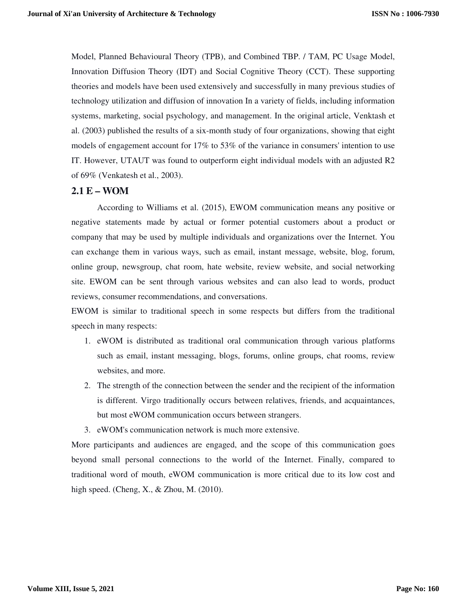Model, Planned Behavioural Theory (TPB), and Combined TBP. / TAM, PC Usage Model, Innovation Diffusion Theory (IDT) and Social Cognitive Theory (CCT). These supporting theories and models have been used extensively and successfully in many previous studies of technology utilization and diffusion of innovation In a variety of fields, including information systems, marketing, social psychology, and management. In the original article, Venktash et al. (2003) published the results of a six-month study of four organizations, showing that eight models of engagement account for 17% to 53% of the variance in consumers' intention to use IT. However, UTAUT was found to outperform eight individual models with an adjusted R2 of 69% (Venkatesh et al., 2003).

## **2.1 E – WOM**

According to Williams et al. (2015), EWOM communication means any positive or negative statements made by actual or former potential customers about a product or company that may be used by multiple individuals and organizations over the Internet. You can exchange them in various ways, such as email, instant message, website, blog, forum, online group, newsgroup, chat room, hate website, review website, and social networking site. EWOM can be sent through various websites and can also lead to words, product reviews, consumer recommendations, and conversations.

EWOM is similar to traditional speech in some respects but differs from the traditional speech in many respects:

- 1. eWOM is distributed as traditional oral communication through various platforms such as email, instant messaging, blogs, forums, online groups, chat rooms, review websites, and more.
- 2. The strength of the connection between the sender and the recipient of the information is different. Virgo traditionally occurs between relatives, friends, and acquaintances, but most eWOM communication occurs between strangers.
- 3. eWOM's communication network is much more extensive.

More participants and audiences are engaged, and the scope of this communication goes beyond small personal connections to the world of the Internet. Finally, compared to traditional word of mouth, eWOM communication is more critical due to its low cost and high speed. (Cheng, X., & Zhou, M. (2010).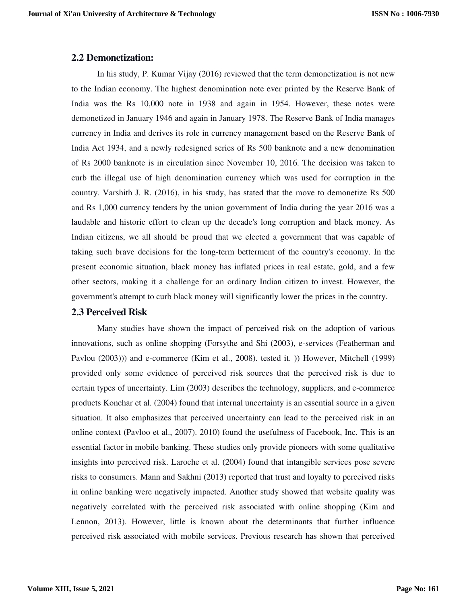#### **2.2 Demonetization:**

In his study, P. Kumar Vijay (2016) reviewed that the term demonetization is not new to the Indian economy. The highest denomination note ever printed by the Reserve Bank of India was the Rs 10,000 note in 1938 and again in 1954. However, these notes were demonetized in January 1946 and again in January 1978. The Reserve Bank of India manages currency in India and derives its role in currency management based on the Reserve Bank of India Act 1934, and a newly redesigned series of Rs 500 banknote and a new denomination of Rs 2000 banknote is in circulation since November 10, 2016. The decision was taken to curb the illegal use of high denomination currency which was used for corruption in the country. Varshith J. R. (2016), in his study, has stated that the move to demonetize Rs 500 and Rs 1,000 currency tenders by the union government of India during the year 2016 was a laudable and historic effort to clean up the decade's long corruption and black money. As Indian citizens, we all should be proud that we elected a government that was capable of taking such brave decisions for the long-term betterment of the country's economy. In the present economic situation, black money has inflated prices in real estate, gold, and a few other sectors, making it a challenge for an ordinary Indian citizen to invest. However, the government's attempt to curb black money will significantly lower the prices in the country.

#### **2.3 Perceived Risk**

Many studies have shown the impact of perceived risk on the adoption of various innovations, such as online shopping (Forsythe and Shi (2003), e-services (Featherman and Pavlou (2003))) and e-commerce (Kim et al., 2008). tested it. )) However, Mitchell (1999) provided only some evidence of perceived risk sources that the perceived risk is due to certain types of uncertainty. Lim (2003) describes the technology, suppliers, and e-commerce products Konchar et al. (2004) found that internal uncertainty is an essential source in a given situation. It also emphasizes that perceived uncertainty can lead to the perceived risk in an online context (Pavloo et al., 2007). 2010) found the usefulness of Facebook, Inc. This is an essential factor in mobile banking. These studies only provide pioneers with some qualitative insights into perceived risk. Laroche et al. (2004) found that intangible services pose severe risks to consumers. Mann and Sakhni (2013) reported that trust and loyalty to perceived risks in online banking were negatively impacted. Another study showed that website quality was negatively correlated with the perceived risk associated with online shopping (Kim and Lennon, 2013). However, little is known about the determinants that further influence perceived risk associated with mobile services. Previous research has shown that perceived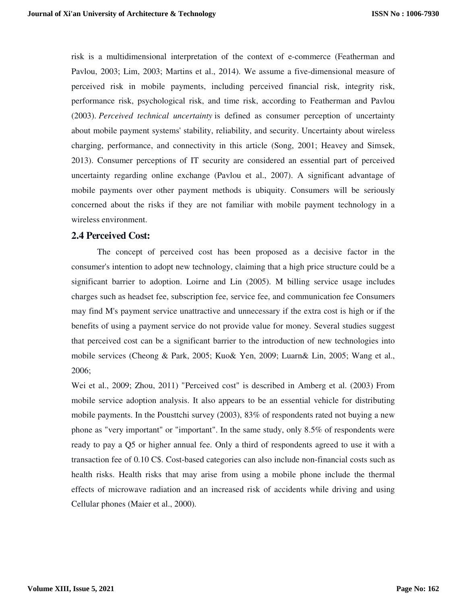risk is a multidimensional interpretation of the context of e-commerce (Featherman and Pavlou, 2003; Lim, 2003; Martins et al., 2014). We assume a five-dimensional measure of perceived risk in mobile payments, including perceived financial risk, integrity risk, performance risk, psychological risk, and time risk, according to Featherman and Pavlou (2003). *Perceived technical uncertainty* is defined as consumer perception of uncertainty about mobile payment systems' stability, reliability, and security. Uncertainty about wireless charging, performance, and connectivity in this article (Song, 2001; Heavey and Simsek, 2013). Consumer perceptions of IT security are considered an essential part of perceived uncertainty regarding online exchange (Pavlou et al., 2007). A significant advantage of mobile payments over other payment methods is ubiquity. Consumers will be seriously concerned about the risks if they are not familiar with mobile payment technology in a wireless environment.

#### **2.4 Perceived Cost:**

The concept of perceived cost has been proposed as a decisive factor in the consumer's intention to adopt new technology, claiming that a high price structure could be a significant barrier to adoption. Loirne and Lin (2005). M billing service usage includes charges such as headset fee, subscription fee, service fee, and communication fee Consumers may find M's payment service unattractive and unnecessary if the extra cost is high or if the benefits of using a payment service do not provide value for money. Several studies suggest that perceived cost can be a significant barrier to the introduction of new technologies into mobile services (Cheong & Park, 2005; Kuo& Yen, 2009; Luarn& Lin, 2005; Wang et al., 2006;

Wei et al., 2009; Zhou, 2011) "Perceived cost" is described in Amberg et al. (2003) From mobile service adoption analysis. It also appears to be an essential vehicle for distributing mobile payments. In the Pousttchi survey (2003), 83% of respondents rated not buying a new phone as "very important" or "important". In the same study, only 8.5% of respondents were ready to pay a Q5 or higher annual fee. Only a third of respondents agreed to use it with a transaction fee of 0.10 C\$. Cost-based categories can also include non-financial costs such as health risks. Health risks that may arise from using a mobile phone include the thermal effects of microwave radiation and an increased risk of accidents while driving and using Cellular phones (Maier et al., 2000).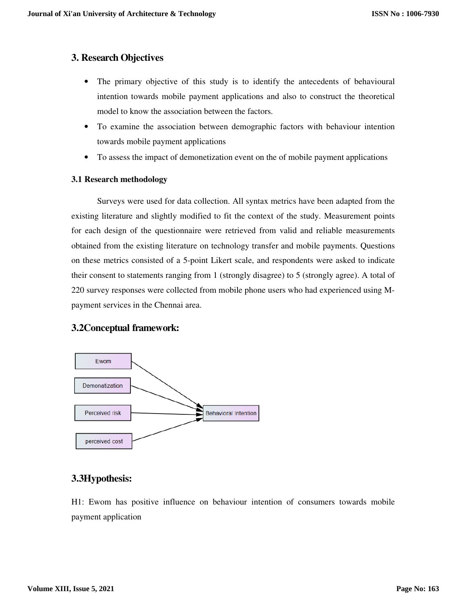## **3. Research Objectives**

- The primary objective of this study is to identify the antecedents of behavioural intention towards mobile payment applications and also to construct the theoretical model to know the association between the factors.
- To examine the association between demographic factors with behaviour intention towards mobile payment applications
- To assess the impact of demonetization event on the of mobile payment applications

#### **3.1 Research methodology**

Surveys were used for data collection. All syntax metrics have been adapted from the existing literature and slightly modified to fit the context of the study. Measurement points for each design of the questionnaire were retrieved from valid and reliable measurements obtained from the existing literature on technology transfer and mobile payments. Questions on these metrics consisted of a 5-point Likert scale, and respondents were asked to indicate their consent to statements ranging from 1 (strongly disagree) to 5 (strongly agree). A total of 220 survey responses were collected from mobile phone users who had experienced using Mpayment services in the Chennai area.

## **3.2Conceptual framework:**



# **3.3Hypothesis:**

H1: Ewom has positive influence on behaviour intention of consumers towards mobile payment application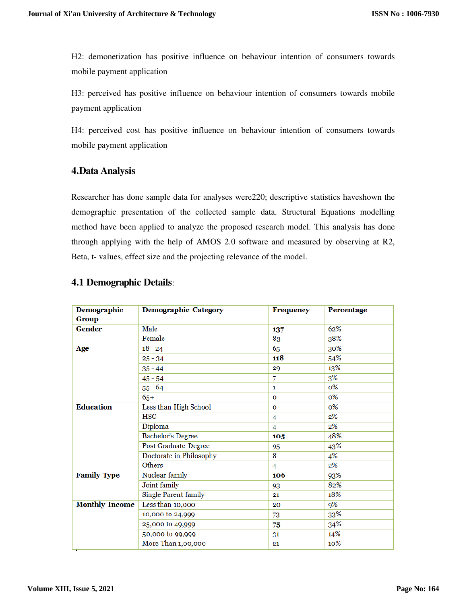H2: demonetization has positive influence on behaviour intention of consumers towards mobile payment application

H3: perceived has positive influence on behaviour intention of consumers towards mobile payment application

H4: perceived cost has positive influence on behaviour intention of consumers towards mobile payment application

# **4.Data Analysis**

Researcher has done sample data for analyses were220; descriptive statistics haveshown the demographic presentation of the collected sample data. Structural Equations modelling method have been applied to analyze the proposed research model. This analysis has done through applying with the help of AMOS 2.0 software and measured by observing at R2, Beta, t- values, effect size and the projecting relevance of the model.

| Demographic           | <b>Demographic Category</b> | Frequency    | Percentage |
|-----------------------|-----------------------------|--------------|------------|
| <b>Group</b>          |                             |              |            |
| Gender                | Male                        | 137          | 62%        |
|                       | Female                      | 83           | 38%        |
| Age                   | $18 - 24$                   | 65           | 30%        |
|                       | $25 - 34$                   | 118          | 54%        |
|                       | $35 - 44$                   | 29           | 13%        |
|                       | $45 - 54$                   | 7            | 3%         |
|                       | $55 - 64$                   | $\mathbf{1}$ | $0\%$      |
|                       | $65+$                       | $\mathbf 0$  | $0\%$      |
| <b>Education</b>      | Less than High School       | $\mathbf{O}$ | $0\%$      |
|                       | <b>HSC</b>                  | 4            | 2%         |
|                       | Diploma                     | 4            | 2%         |
|                       | Bachelor's Degree           | 105          | 48%        |
|                       | Post Graduate Degree        | 95           | 43%        |
|                       | Doctorate in Philosophy     | 8            | 4%         |
|                       | <b>Others</b>               | 4            | $2\%$      |
| <b>Family Type</b>    | Nuclear family              | 106          | 93%        |
|                       | Joint family                | 93           | 82%        |
|                       | Single Parent family        | 21           | 18%        |
| <b>Monthly Income</b> | Less than 10,000            | 20           | 9%         |
|                       | 10,000 to 24,999            | 73           | 33%        |
|                       | 25,000 to 49,999            | 75           | 34%        |
|                       | 50,000 to 99,999            | 31           | 14%        |
|                       | More Than 1,00,000          | 21           | 10%        |

## **4.1 Demographic Details**: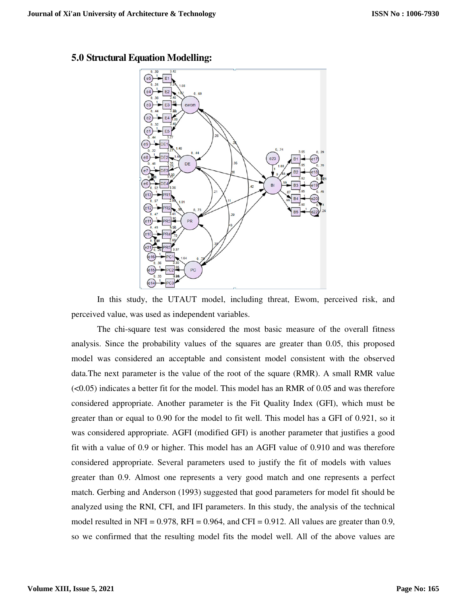

#### **5.0 Structural Equation Modelling:**

In this study, the UTAUT model, including threat, Ewom, perceived risk, and perceived value, was used as independent variables.

The chi-square test was considered the most basic measure of the overall fitness analysis. Since the probability values of the squares are greater than 0.05, this proposed model was considered an acceptable and consistent model consistent with the observed data.The next parameter is the value of the root of the square (RMR). A small RMR value  $( $0.05$ ) indicates a better fit for the model. This model has an RMR of 0.05 and was therefore$ considered appropriate. Another parameter is the Fit Quality Index (GFI), which must be greater than or equal to 0.90 for the model to fit well. This model has a GFI of 0.921, so it was considered appropriate. AGFI (modified GFI) is another parameter that justifies a good fit with a value of 0.9 or higher. This model has an AGFI value of 0.910 and was therefore considered appropriate. Several parameters used to justify the fit of models with values greater than 0.9. Almost one represents a very good match and one represents a perfect match. Gerbing and Anderson (1993) suggested that good parameters for model fit should be analyzed using the RNI, CFI, and IFI parameters. In this study, the analysis of the technical model resulted in NFI =  $0.978$ , RFI =  $0.964$ , and CFI =  $0.912$ . All values are greater than 0.9, so we confirmed that the resulting model fits the model well. All of the above values are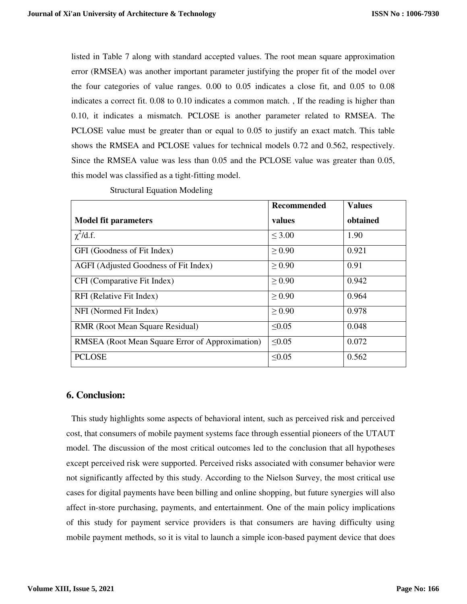listed in Table 7 along with standard accepted values. The root mean square approximation error (RMSEA) was another important parameter justifying the proper fit of the model over the four categories of value ranges. 0.00 to 0.05 indicates a close fit, and 0.05 to 0.08 indicates a correct fit. 0.08 to 0.10 indicates a common match. , If the reading is higher than 0.10, it indicates a mismatch. PCLOSE is another parameter related to RMSEA. The PCLOSE value must be greater than or equal to 0.05 to justify an exact match. This table shows the RMSEA and PCLOSE values for technical models 0.72 and 0.562, respectively. Since the RMSEA value was less than 0.05 and the PCLOSE value was greater than 0.05, this model was classified as a tight-fitting model.

|                                                 | Recommended | <b>Values</b> |
|-------------------------------------------------|-------------|---------------|
| <b>Model fit parameters</b>                     | values      | obtained      |
| $\chi^2$ /d.f.                                  | $\leq 3.00$ | 1.90          |
| GFI (Goodness of Fit Index)                     | $\geq 0.90$ | 0.921         |
| AGFI (Adjusted Goodness of Fit Index)           | $\geq 0.90$ | 0.91          |
| CFI (Comparative Fit Index)                     | $\geq 0.90$ | 0.942         |
| RFI (Relative Fit Index)                        | $\geq 0.90$ | 0.964         |
| NFI (Normed Fit Index)                          | $\geq 0.90$ | 0.978         |
| <b>RMR</b> (Root Mean Square Residual)          | $\leq 0.05$ | 0.048         |
| RMSEA (Root Mean Square Error of Approximation) | $\leq 0.05$ | 0.072         |
| <b>PCLOSE</b>                                   | $\leq 0.05$ | 0.562         |

Structural Equation Modeling

#### **6. Conclusion:**

This study highlights some aspects of behavioral intent, such as perceived risk and perceived cost, that consumers of mobile payment systems face through essential pioneers of the UTAUT model. The discussion of the most critical outcomes led to the conclusion that all hypotheses except perceived risk were supported. Perceived risks associated with consumer behavior were not significantly affected by this study. According to the Nielson Survey, the most critical use cases for digital payments have been billing and online shopping, but future synergies will also affect in-store purchasing, payments, and entertainment. One of the main policy implications of this study for payment service providers is that consumers are having difficulty using mobile payment methods, so it is vital to launch a simple icon-based payment device that does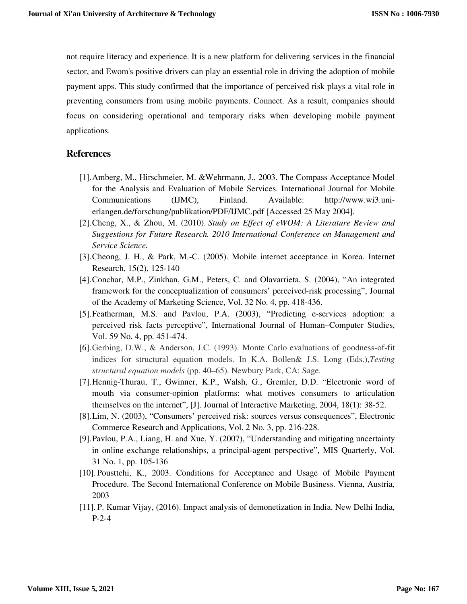not require literacy and experience. It is a new platform for delivering services in the financial sector, and Ewom's positive drivers can play an essential role in driving the adoption of mobile payment apps. This study confirmed that the importance of perceived risk plays a vital role in preventing consumers from using mobile payments. Connect. As a result, companies should focus on considering operational and temporary risks when developing mobile payment applications.

#### **References**

- [1].Amberg, M., Hirschmeier, M. &Wehrmann, J., 2003. The Compass Acceptance Model for the Analysis and Evaluation of Mobile Services. International Journal for Mobile Communications (IJMC), Finland. Available: http://www.wi3.unierlangen.de/forschung/publikation/PDF/IJMC.pdf [Accessed 25 May 2004].
- [2].Cheng, X., & Zhou, M. (2010). *Study on Effect of eWOM: A Literature Review and Suggestions for Future Research. 2010 International Conference on Management and Service Science.*
- [3].Cheong, J. H., & Park, M.-C. (2005). Mobile internet acceptance in Korea. Internet Research, 15(2), 125-140
- [4].Conchar, M.P., Zinkhan, G.M., Peters, C. and Olavarrieta, S. (2004), "An integrated framework for the conceptualization of consumers' perceived-risk processing", Journal of the Academy of Marketing Science, Vol. 32 No. 4, pp. 418-436.
- [5].Featherman, M.S. and Pavlou, P.A. (2003), "Predicting e-services adoption: a perceived risk facts perceptive", International Journal of Human–Computer Studies, Vol. 59 No. 4, pp. 451-474.
- [6].Gerbing, D.W., & Anderson, J.C. (1993). Monte Carlo evaluations of goodness-of-fit indices for structural equation models. In K.A. Bollen& J.S. Long (Eds.),*Testing structural equation models* (pp. 40–65). Newbury Park, CA: Sage.
- [7].Hennig-Thurau, T., Gwinner, K.P., Walsh, G., Gremler, D.D. "Electronic word of mouth via consumer-opinion platforms: what motives consumers to articulation themselves on the internet", [J]. Journal of Interactive Marketing, 2004, 18(1): 38-52.
- [8].Lim, N. (2003), "Consumers' perceived risk: sources versus consequences", Electronic Commerce Research and Applications, Vol. 2 No. 3, pp. 216-228.
- [9].Pavlou, P.A., Liang, H. and Xue, Y. (2007), "Understanding and mitigating uncertainty in online exchange relationships, a principal-agent perspective", MIS Quarterly, Vol. 31 No. 1, pp. 105-136
- [10]. Pousttchi, K., 2003. Conditions for Acceptance and Usage of Mobile Payment Procedure. The Second International Conference on Mobile Business. Vienna, Austria, 2003
- [11]. P. Kumar Vijay, (2016). Impact analysis of demonetization in India. New Delhi India, P-2-4